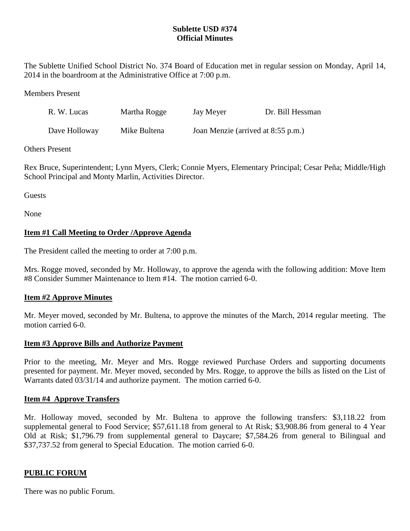## **Sublette USD #374 Official Minutes**

The Sublette Unified School District No. 374 Board of Education met in regular session on Monday, April 14, 2014 in the boardroom at the Administrative Office at 7:00 p.m.

Members Present

| R. W. Lucas   | Martha Rogge | Jay Meyer                          | Dr. Bill Hessman |
|---------------|--------------|------------------------------------|------------------|
| Dave Holloway | Mike Bultena | Joan Menzie (arrived at 8:55 p.m.) |                  |

Others Present

Rex Bruce, Superintendent; Lynn Myers, Clerk; Connie Myers, Elementary Principal; Cesar Peña; Middle/High School Principal and Monty Marlin, Activities Director.

Guests

None

# **Item #1 Call Meeting to Order /Approve Agenda**

The President called the meeting to order at 7:00 p.m.

Mrs. Rogge moved, seconded by Mr. Holloway, to approve the agenda with the following addition: Move Item #8 Consider Summer Maintenance to Item #14. The motion carried 6-0.

## **Item #2 Approve Minutes**

Mr. Meyer moved, seconded by Mr. Bultena, to approve the minutes of the March, 2014 regular meeting. The motion carried 6-0.

## **Item #3 Approve Bills and Authorize Payment**

Prior to the meeting, Mr. Meyer and Mrs. Rogge reviewed Purchase Orders and supporting documents presented for payment. Mr. Meyer moved, seconded by Mrs. Rogge, to approve the bills as listed on the List of Warrants dated 03/31/14 and authorize payment. The motion carried 6-0.

### **Item #4 Approve Transfers**

Mr. Holloway moved, seconded by Mr. Bultena to approve the following transfers: \$3,118.22 from supplemental general to Food Service; \$57,611.18 from general to At Risk; \$3,908.86 from general to 4 Year Old at Risk; \$1,796.79 from supplemental general to Daycare; \$7,584.26 from general to Bilingual and \$37,737.52 from general to Special Education. The motion carried 6-0.

## **PUBLIC FORUM**

There was no public Forum.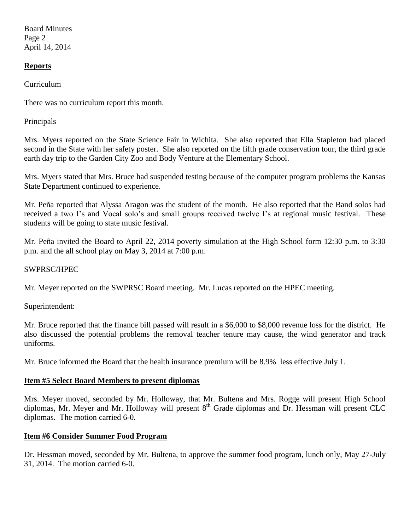Board Minutes Page 2 April 14, 2014

## **Reports**

Curriculum

There was no curriculum report this month.

#### Principals

Mrs. Myers reported on the State Science Fair in Wichita. She also reported that Ella Stapleton had placed second in the State with her safety poster. She also reported on the fifth grade conservation tour, the third grade earth day trip to the Garden City Zoo and Body Venture at the Elementary School.

Mrs. Myers stated that Mrs. Bruce had suspended testing because of the computer program problems the Kansas State Department continued to experience.

Mr. Peña reported that Alyssa Aragon was the student of the month. He also reported that the Band solos had received a two I's and Vocal solo's and small groups received twelve I's at regional music festival. These students will be going to state music festival.

Mr. Peña invited the Board to April 22, 2014 poverty simulation at the High School form 12:30 p.m. to 3:30 p.m. and the all school play on May 3, 2014 at 7:00 p.m.

#### SWPRSC/HPEC

Mr. Meyer reported on the SWPRSC Board meeting. Mr. Lucas reported on the HPEC meeting.

Superintendent:

Mr. Bruce reported that the finance bill passed will result in a \$6,000 to \$8,000 revenue loss for the district. He also discussed the potential problems the removal teacher tenure may cause, the wind generator and track uniforms.

Mr. Bruce informed the Board that the health insurance premium will be 8.9% less effective July 1.

### **Item #5 Select Board Members to present diplomas**

Mrs. Meyer moved, seconded by Mr. Holloway, that Mr. Bultena and Mrs. Rogge will present High School diplomas, Mr. Meyer and Mr. Holloway will present  $8<sup>th</sup>$  Grade diplomas and Dr. Hessman will present CLC diplomas. The motion carried 6-0.

### **Item #6 Consider Summer Food Program**

Dr. Hessman moved, seconded by Mr. Bultena, to approve the summer food program, lunch only, May 27-July 31, 2014. The motion carried 6-0.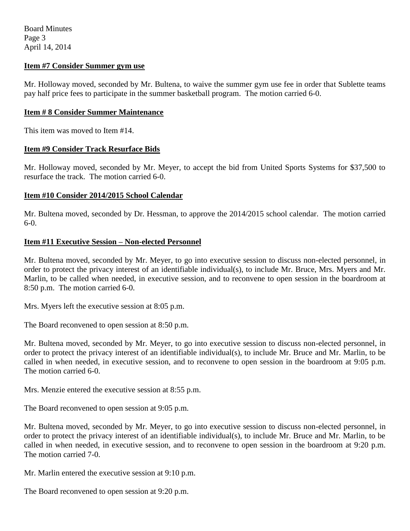Board Minutes Page 3 April 14, 2014

### **Item #7 Consider Summer gym use**

Mr. Holloway moved, seconded by Mr. Bultena, to waive the summer gym use fee in order that Sublette teams pay half price fees to participate in the summer basketball program. The motion carried 6-0.

#### **Item # 8 Consider Summer Maintenance**

This item was moved to Item #14.

### **Item #9 Consider Track Resurface Bids**

Mr. Holloway moved, seconded by Mr. Meyer, to accept the bid from United Sports Systems for \$37,500 to resurface the track. The motion carried 6-0.

## **Item #10 Consider 2014/2015 School Calendar**

Mr. Bultena moved, seconded by Dr. Hessman, to approve the 2014/2015 school calendar. The motion carried  $6-0.$ 

#### **Item #11 Executive Session – Non-elected Personnel**

Mr. Bultena moved, seconded by Mr. Meyer, to go into executive session to discuss non-elected personnel, in order to protect the privacy interest of an identifiable individual(s), to include Mr. Bruce, Mrs. Myers and Mr. Marlin, to be called when needed, in executive session, and to reconvene to open session in the boardroom at 8:50 p.m. The motion carried 6-0.

Mrs. Myers left the executive session at 8:05 p.m.

The Board reconvened to open session at 8:50 p.m.

Mr. Bultena moved, seconded by Mr. Meyer, to go into executive session to discuss non-elected personnel, in order to protect the privacy interest of an identifiable individual(s), to include Mr. Bruce and Mr. Marlin, to be called in when needed, in executive session, and to reconvene to open session in the boardroom at 9:05 p.m. The motion carried 6-0.

Mrs. Menzie entered the executive session at 8:55 p.m.

The Board reconvened to open session at 9:05 p.m.

Mr. Bultena moved, seconded by Mr. Meyer, to go into executive session to discuss non-elected personnel, in order to protect the privacy interest of an identifiable individual(s), to include Mr. Bruce and Mr. Marlin, to be called in when needed, in executive session, and to reconvene to open session in the boardroom at 9:20 p.m. The motion carried 7-0.

Mr. Marlin entered the executive session at 9:10 p.m.

The Board reconvened to open session at 9:20 p.m.